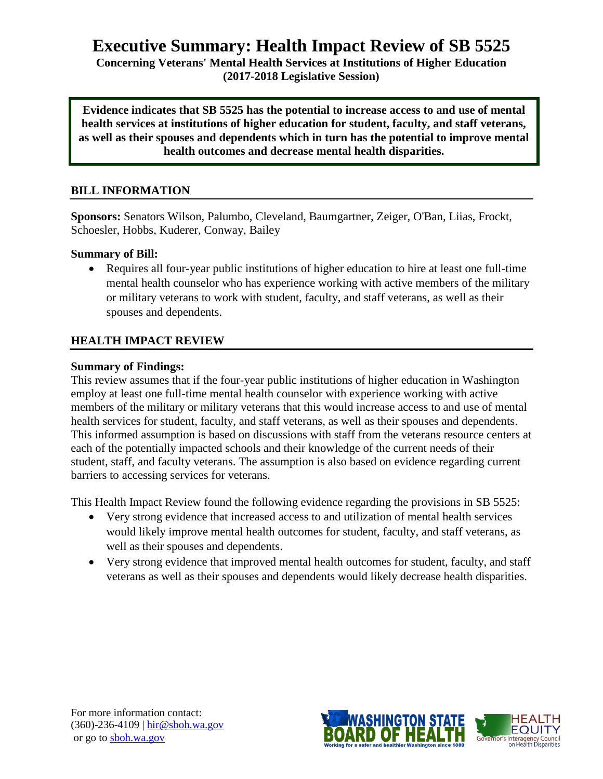# **Executive Summary: Health Impact Review of SB 5525**

**Concerning Veterans' Mental Health Services at Institutions of Higher Education (2017-2018 Legislative Session)**

**Evidence indicates that SB 5525 has the potential to increase access to and use of mental health services at institutions of higher education for student, faculty, and staff veterans, as well as their spouses and dependents which in turn has the potential to improve mental health outcomes and decrease mental health disparities.**

### **BILL INFORMATION**

**Sponsors:** Senators Wilson, Palumbo, Cleveland, Baumgartner, Zeiger, O'Ban, Liias, Frockt, Schoesler, Hobbs, Kuderer, Conway, Bailey

### **Summary of Bill:**

 Requires all four-year public institutions of higher education to hire at least one full-time mental health counselor who has experience working with active members of the military or military veterans to work with student, faculty, and staff veterans, as well as their spouses and dependents.

# **HEALTH IMPACT REVIEW**

### **Summary of Findings:**

This review assumes that if the four-year public institutions of higher education in Washington employ at least one full-time mental health counselor with experience working with active members of the military or military veterans that this would increase access to and use of mental health services for student, faculty, and staff veterans, as well as their spouses and dependents. This informed assumption is based on discussions with staff from the veterans resource centers at each of the potentially impacted schools and their knowledge of the current needs of their student, staff, and faculty veterans. The assumption is also based on evidence regarding current barriers to accessing services for veterans.

This Health Impact Review found the following evidence regarding the provisions in SB 5525:

- Very strong evidence that increased access to and utilization of mental health services would likely improve mental health outcomes for student, faculty, and staff veterans, as well as their spouses and dependents.
- Very strong evidence that improved mental health outcomes for student, faculty, and staff veterans as well as their spouses and dependents would likely decrease health disparities.

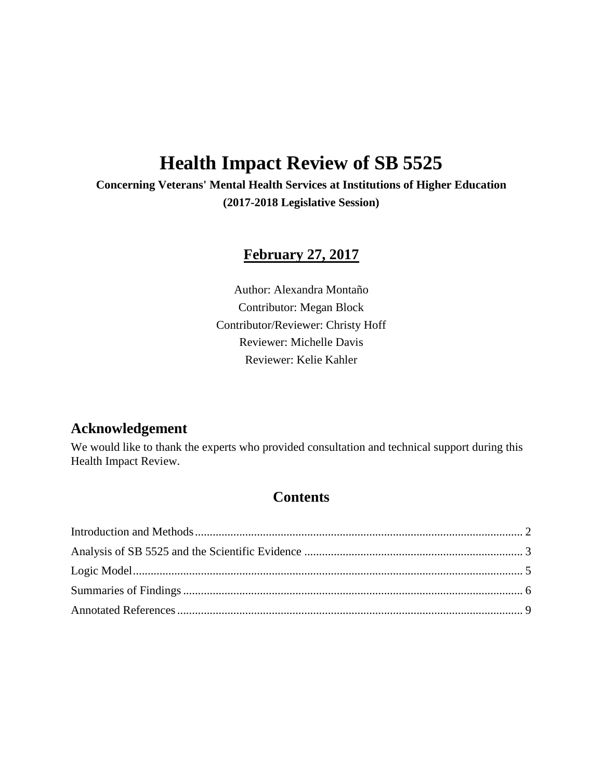# **Health Impact Review of SB 5525**

**Concerning Veterans' Mental Health Services at Institutions of Higher Education (2017-2018 Legislative Session)**

# **February 27, 2017**

Author: Alexandra Montaño Contributor: Megan Block Contributor/Reviewer: Christy Hoff Reviewer: Michelle Davis Reviewer: Kelie Kahler

# **Acknowledgement**

We would like to thank the experts who provided consultation and technical support during this Health Impact Review.

# **Contents**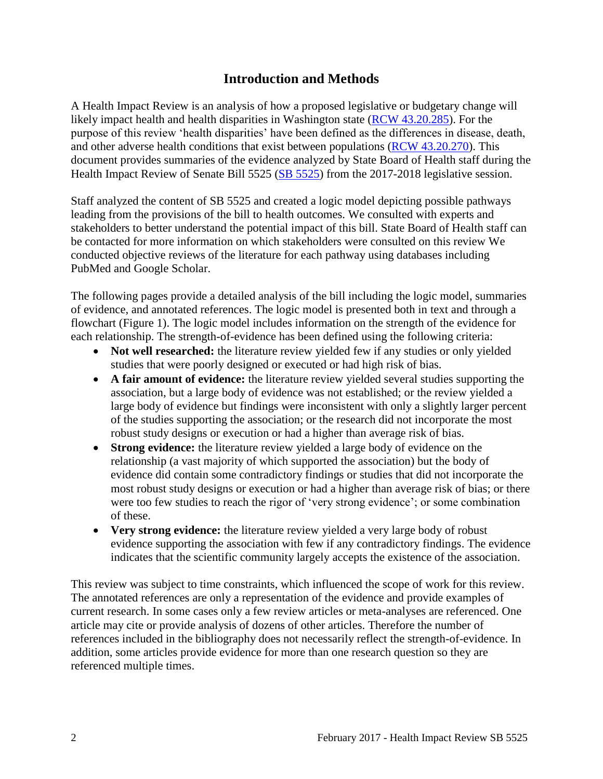# **Introduction and Methods**

<span id="page-2-0"></span>A Health Impact Review is an analysis of how a proposed legislative or budgetary change will likely impact health and health disparities in Washington state [\(RCW 43.20.285\)](http://apps.leg.wa.gov/rcw/default.aspx?cite=43.20.285). For the purpose of this review 'health disparities' have been defined as the differences in disease, death, and other adverse health conditions that exist between populations [\(RCW 43.20.270\)](http://apps.leg.wa.gov/rcw/default.aspx?cite=43.20.270). This document provides summaries of the evidence analyzed by State Board of Health staff during the Health Impact Review of Senate Bill 5525 [\(SB 5525\)](http://lawfilesext.leg.wa.gov/http:/lawfilesext.leg.wa.gov/biennium/2017-18/Pdf/Bills/Senate%20Bills/5525.pdf/2017-18/Pdf/Bills/House%20Bills/1737.pdf) from the 2017-2018 legislative session.

Staff analyzed the content of SB 5525 and created a logic model depicting possible pathways leading from the provisions of the bill to health outcomes. We consulted with experts and stakeholders to better understand the potential impact of this bill. State Board of Health staff can be contacted for more information on which stakeholders were consulted on this review We conducted objective reviews of the literature for each pathway using databases including PubMed and Google Scholar.

The following pages provide a detailed analysis of the bill including the logic model, summaries of evidence, and annotated references. The logic model is presented both in text and through a flowchart (Figure 1). The logic model includes information on the strength of the evidence for each relationship. The strength-of-evidence has been defined using the following criteria:

- **Not well researched:** the literature review yielded few if any studies or only yielded studies that were poorly designed or executed or had high risk of bias.
- **A fair amount of evidence:** the literature review yielded several studies supporting the association, but a large body of evidence was not established; or the review yielded a large body of evidence but findings were inconsistent with only a slightly larger percent of the studies supporting the association; or the research did not incorporate the most robust study designs or execution or had a higher than average risk of bias.
- **Strong evidence:** the literature review yielded a large body of evidence on the relationship (a vast majority of which supported the association) but the body of evidence did contain some contradictory findings or studies that did not incorporate the most robust study designs or execution or had a higher than average risk of bias; or there were too few studies to reach the rigor of 'very strong evidence'; or some combination of these.
- **Very strong evidence:** the literature review yielded a very large body of robust evidence supporting the association with few if any contradictory findings. The evidence indicates that the scientific community largely accepts the existence of the association.

<span id="page-2-1"></span>This review was subject to time constraints, which influenced the scope of work for this review. The annotated references are only a representation of the evidence and provide examples of current research. In some cases only a few review articles or meta-analyses are referenced. One article may cite or provide analysis of dozens of other articles. Therefore the number of references included in the bibliography does not necessarily reflect the strength-of-evidence. In addition, some articles provide evidence for more than one research question so they are referenced multiple times.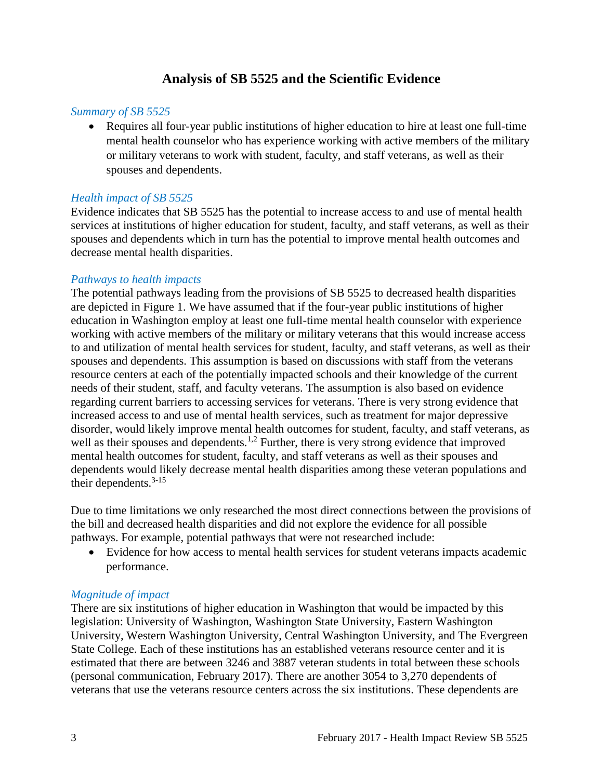# **Analysis of SB 5525 and the Scientific Evidence**

### *Summary of SB 5525*

 Requires all four-year public institutions of higher education to hire at least one full-time mental health counselor who has experience working with active members of the military or military veterans to work with student, faculty, and staff veterans, as well as their spouses and dependents.

#### *Health impact of SB 5525*

Evidence indicates that SB 5525 has the potential to increase access to and use of mental health services at institutions of higher education for student, faculty, and staff veterans, as well as their spouses and dependents which in turn has the potential to improve mental health outcomes and decrease mental health disparities.

#### *Pathways to health impacts*

The potential pathways leading from the provisions of SB 5525 to decreased health disparities are depicted in Figure 1. We have assumed that if the four-year public institutions of higher education in Washington employ at least one full-time mental health counselor with experience working with active members of the military or military veterans that this would increase access to and utilization of mental health services for student, faculty, and staff veterans, as well as their spouses and dependents. This assumption is based on discussions with staff from the veterans resource centers at each of the potentially impacted schools and their knowledge of the current needs of their student, staff, and faculty veterans. The assumption is also based on evidence regarding current barriers to accessing services for veterans. There is very strong evidence that increased access to and use of mental health services, such as treatment for major depressive disorder, would likely improve mental health outcomes for student, faculty, and staff veterans, as well as their spouses and dependents.<sup>1,2</sup> Further, there is very strong evidence that improved mental health outcomes for student, faculty, and staff veterans as well as their spouses and dependents would likely decrease mental health disparities among these veteran populations and their dependents. 3-15

Due to time limitations we only researched the most direct connections between the provisions of the bill and decreased health disparities and did not explore the evidence for all possible pathways. For example, potential pathways that were not researched include:

 Evidence for how access to mental health services for student veterans impacts academic performance.

### *Magnitude of impact*

There are six institutions of higher education in Washington that would be impacted by this legislation: University of Washington, Washington State University, Eastern Washington University, Western Washington University, Central Washington University, and The Evergreen State College. Each of these institutions has an established veterans resource center and it is estimated that there are between 3246 and 3887 veteran students in total between these schools (personal communication, February 2017). There are another 3054 to 3,270 dependents of veterans that use the veterans resource centers across the six institutions. These dependents are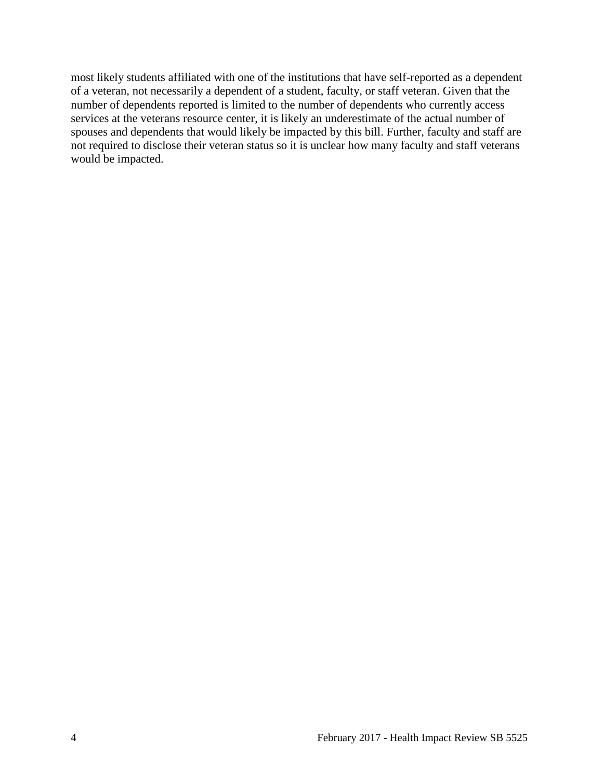most likely students affiliated with one of the institutions that have self-reported as a dependent of a veteran, not necessarily a dependent of a student, faculty, or staff veteran. Given that the number of dependents reported is limited to the number of dependents who currently access services at the veterans resource center, it is likely an underestimate of the actual number of spouses and dependents that would likely be impacted by this bill. Further, faculty and staff are not required to disclose their veteran status so it is unclear how many faculty and staff veterans would be impacted.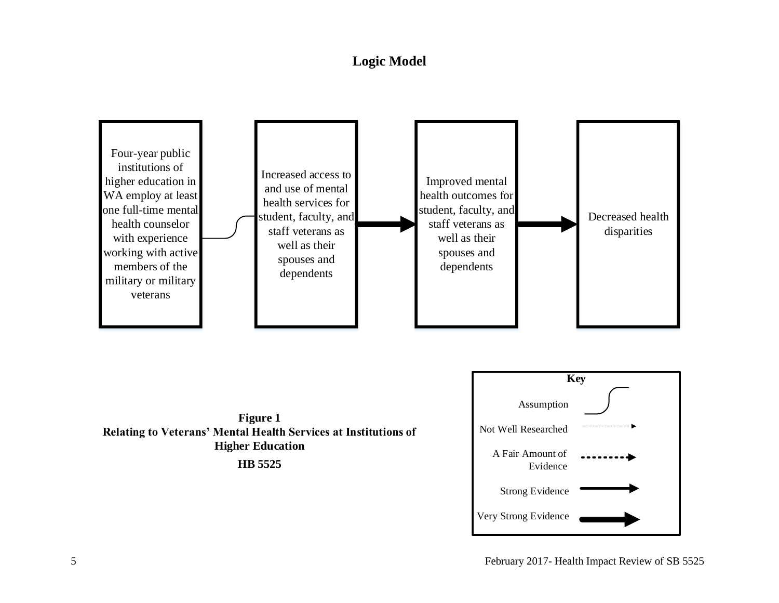# **Logic Model**

<span id="page-5-0"></span>



**HB 5525**

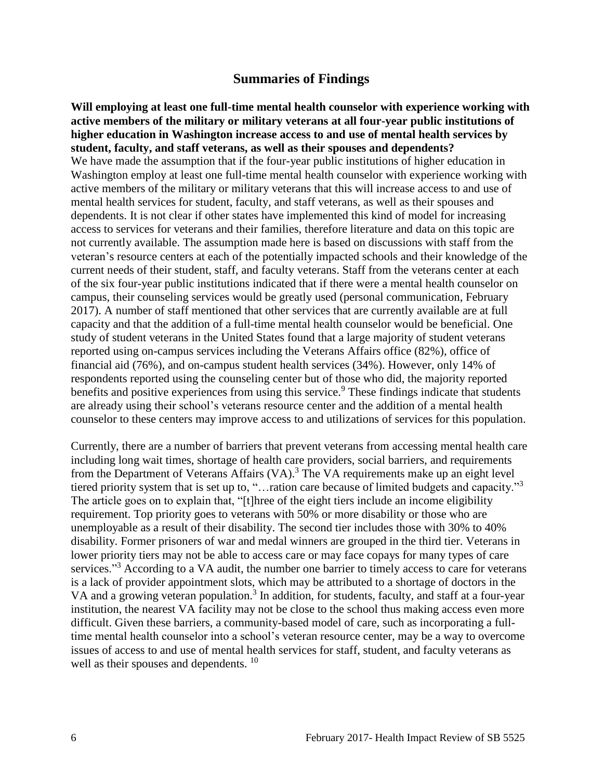# **Summaries of Findings**

<span id="page-6-0"></span>**Will employing at least one full-time mental health counselor with experience working with active members of the military or military veterans at all four-year public institutions of higher education in Washington increase access to and use of mental health services by student, faculty, and staff veterans, as well as their spouses and dependents?** We have made the assumption that if the four-year public institutions of higher education in Washington employ at least one full-time mental health counselor with experience working with active members of the military or military veterans that this will increase access to and use of mental health services for student, faculty, and staff veterans, as well as their spouses and dependents. It is not clear if other states have implemented this kind of model for increasing access to services for veterans and their families, therefore literature and data on this topic are not currently available. The assumption made here is based on discussions with staff from the veteran's resource centers at each of the potentially impacted schools and their knowledge of the current needs of their student, staff, and faculty veterans. Staff from the veterans center at each of the six four-year public institutions indicated that if there were a mental health counselor on campus, their counseling services would be greatly used (personal communication, February 2017). A number of staff mentioned that other services that are currently available are at full capacity and that the addition of a full-time mental health counselor would be beneficial. One study of student veterans in the United States found that a large majority of student veterans reported using on-campus services including the Veterans Affairs office (82%), office of financial aid (76%), and on-campus student health services (34%). However, only 14% of respondents reported using the counseling center but of those who did, the majority reported benefits and positive experiences from using this service.<sup>9</sup> These findings indicate that students are already using their school's veterans resource center and the addition of a mental health counselor to these centers may improve access to and utilizations of services for this population.

Currently, there are a number of barriers that prevent veterans from accessing mental health care including long wait times, shortage of health care providers, social barriers, and requirements from the Department of Veterans Affairs (VA).<sup>3</sup> The VA requirements make up an eight level tiered priority system that is set up to, "…ration care because of limited budgets and capacity."<sup>3</sup> The article goes on to explain that, "[t]hree of the eight tiers include an income eligibility requirement. Top priority goes to veterans with 50% or more disability or those who are unemployable as a result of their disability. The second tier includes those with 30% to 40% disability. Former prisoners of war and medal winners are grouped in the third tier. Veterans in lower priority tiers may not be able to access care or may face copays for many types of care services."<sup>3</sup> According to a VA audit, the number one barrier to timely access to care for veterans is a lack of provider appointment slots, which may be attributed to a shortage of doctors in the VA and a growing veteran population.<sup>3</sup> In addition, for students, faculty, and staff at a four-year institution, the nearest VA facility may not be close to the school thus making access even more difficult. Given these barriers, a community-based model of care, such as incorporating a fulltime mental health counselor into a school's veteran resource center, may be a way to overcome issues of access to and use of mental health services for staff, student, and faculty veterans as well as their spouses and dependents. <sup>10</sup>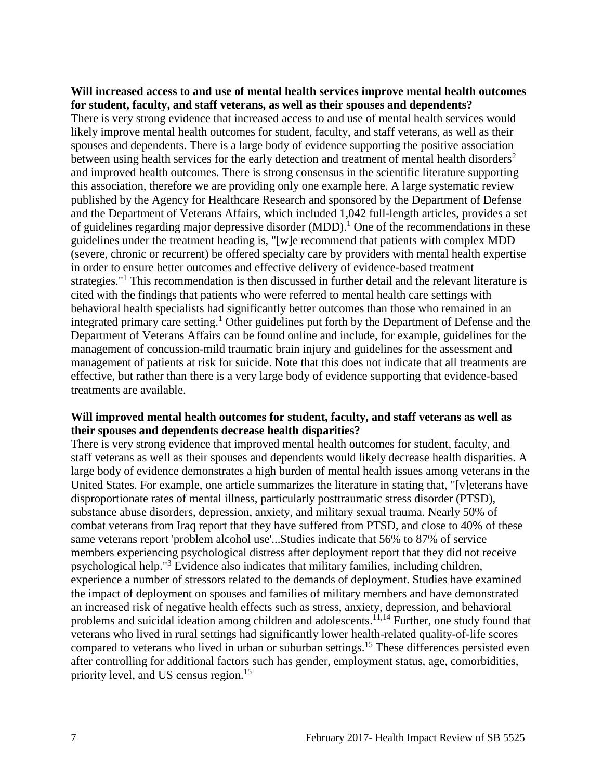#### **Will increased access to and use of mental health services improve mental health outcomes for student, faculty, and staff veterans, as well as their spouses and dependents?**

There is very strong evidence that increased access to and use of mental health services would likely improve mental health outcomes for student, faculty, and staff veterans, as well as their spouses and dependents. There is a large body of evidence supporting the positive association between using health services for the early detection and treatment of mental health disorders<sup>2</sup> and improved health outcomes. There is strong consensus in the scientific literature supporting this association, therefore we are providing only one example here. A large systematic review published by the Agency for Healthcare Research and sponsored by the Department of Defense and the Department of Veterans Affairs, which included 1,042 full-length articles, provides a set of guidelines regarding major depressive disorder (MDD).<sup>1</sup> One of the recommendations in these guidelines under the treatment heading is, "[w]e recommend that patients with complex MDD (severe, chronic or recurrent) be offered specialty care by providers with mental health expertise in order to ensure better outcomes and effective delivery of evidence-based treatment strategies."<sup>1</sup> This recommendation is then discussed in further detail and the relevant literature is cited with the findings that patients who were referred to mental health care settings with behavioral health specialists had significantly better outcomes than those who remained in an integrated primary care setting.<sup>1</sup> Other guidelines put forth by the Department of Defense and the Department of Veterans Affairs can be found online and include, for example, guidelines for the management of concussion-mild traumatic brain injury and guidelines for the assessment and management of patients at risk for suicide. Note that this does not indicate that all treatments are effective, but rather than there is a very large body of evidence supporting that evidence-based treatments are available.

### **Will improved mental health outcomes for student, faculty, and staff veterans as well as their spouses and dependents decrease health disparities?**

There is very strong evidence that improved mental health outcomes for student, faculty, and staff veterans as well as their spouses and dependents would likely decrease health disparities. A large body of evidence demonstrates a high burden of mental health issues among veterans in the United States. For example, one article summarizes the literature in stating that, "[v]eterans have disproportionate rates of mental illness, particularly posttraumatic stress disorder (PTSD), substance abuse disorders, depression, anxiety, and military sexual trauma. Nearly 50% of combat veterans from Iraq report that they have suffered from PTSD, and close to 40% of these same veterans report 'problem alcohol use'...Studies indicate that 56% to 87% of service members experiencing psychological distress after deployment report that they did not receive psychological help."<sup>3</sup> Evidence also indicates that military families, including children, experience a number of stressors related to the demands of deployment. Studies have examined the impact of deployment on spouses and families of military members and have demonstrated an increased risk of negative health effects such as stress, anxiety, depression, and behavioral problems and suicidal ideation among children and adolescents.<sup>11,14</sup> Further, one study found that veterans who lived in rural settings had significantly lower health-related quality-of-life scores compared to veterans who lived in urban or suburban settings.<sup>15</sup> These differences persisted even after controlling for additional factors such has gender, employment status, age, comorbidities, priority level, and US census region.<sup>15</sup>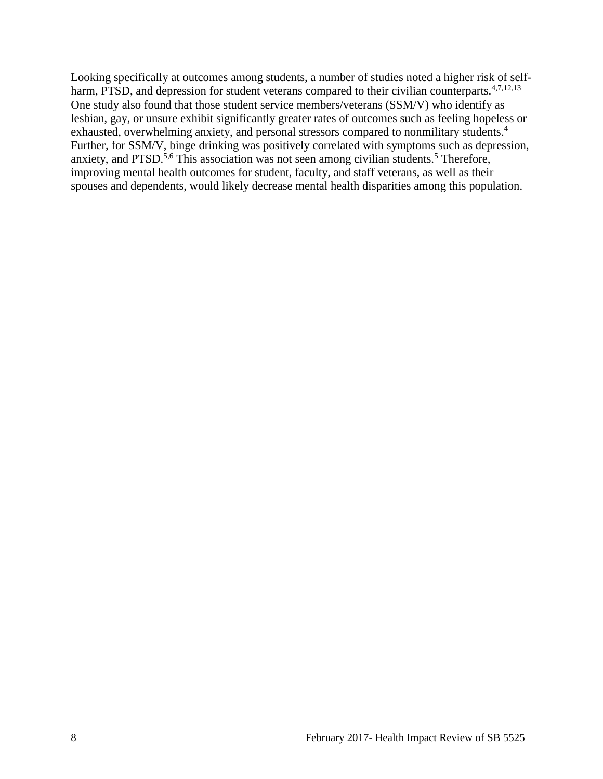Looking specifically at outcomes among students, a number of studies noted a higher risk of selfharm, PTSD, and depression for student veterans compared to their civilian counterparts.<sup>4,7,12,13</sup> One study also found that those student service members/veterans (SSM/V) who identify as lesbian, gay, or unsure exhibit significantly greater rates of outcomes such as feeling hopeless or exhausted, overwhelming anxiety, and personal stressors compared to nonmilitary students.<sup>4</sup> Further, for SSM/V, binge drinking was positively correlated with symptoms such as depression, anxiety, and PTSD.<sup>5,6</sup> This association was not seen among civilian students.<sup>5</sup> Therefore, improving mental health outcomes for student, faculty, and staff veterans, as well as their spouses and dependents, would likely decrease mental health disparities among this population.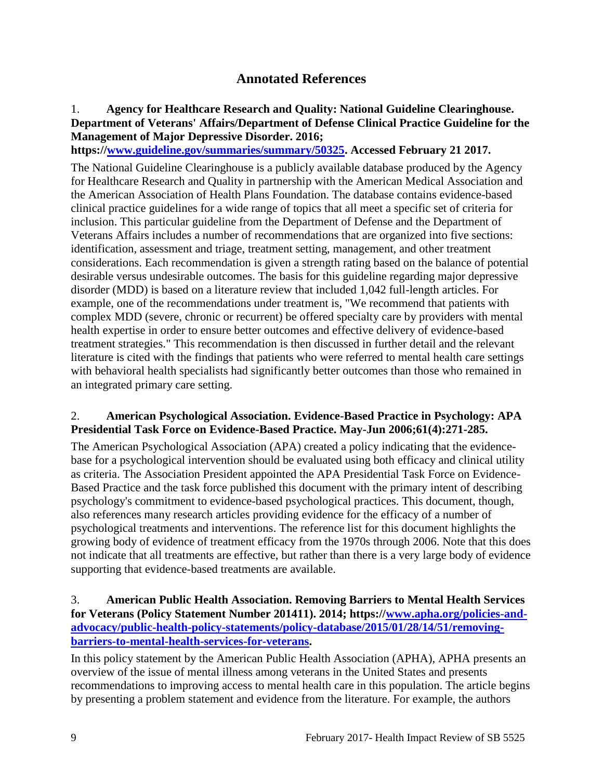# **Annotated References**

# 1. **Agency for Healthcare Research and Quality: National Guideline Clearinghouse. Department of Veterans' Affairs/Department of Defense Clinical Practice Guideline for the Management of Major Depressive Disorder. 2016;**

**https:/[/www.guideline.gov/summaries/summary/50325.](http://www.guideline.gov/summaries/summary/50325) Accessed February 21 2017.**

The National Guideline Clearinghouse is a publicly available database produced by the Agency for Healthcare Research and Quality in partnership with the American Medical Association and the American Association of Health Plans Foundation. The database contains evidence-based clinical practice guidelines for a wide range of topics that all meet a specific set of criteria for inclusion. This particular guideline from the Department of Defense and the Department of Veterans Affairs includes a number of recommendations that are organized into five sections: identification, assessment and triage, treatment setting, management, and other treatment considerations. Each recommendation is given a strength rating based on the balance of potential desirable versus undesirable outcomes. The basis for this guideline regarding major depressive disorder (MDD) is based on a literature review that included 1,042 full-length articles. For example, one of the recommendations under treatment is, "We recommend that patients with complex MDD (severe, chronic or recurrent) be offered specialty care by providers with mental health expertise in order to ensure better outcomes and effective delivery of evidence-based treatment strategies." This recommendation is then discussed in further detail and the relevant literature is cited with the findings that patients who were referred to mental health care settings with behavioral health specialists had significantly better outcomes than those who remained in an integrated primary care setting.

### 2. **American Psychological Association. Evidence-Based Practice in Psychology: APA Presidential Task Force on Evidence-Based Practice. May-Jun 2006;61(4):271-285.**

The American Psychological Association (APA) created a policy indicating that the evidencebase for a psychological intervention should be evaluated using both efficacy and clinical utility as criteria. The Association President appointed the APA Presidential Task Force on Evidence-Based Practice and the task force published this document with the primary intent of describing psychology's commitment to evidence-based psychological practices. This document, though, also references many research articles providing evidence for the efficacy of a number of psychological treatments and interventions. The reference list for this document highlights the growing body of evidence of treatment efficacy from the 1970s through 2006. Note that this does not indicate that all treatments are effective, but rather than there is a very large body of evidence supporting that evidence-based treatments are available.

# 3. **American Public Health Association. Removing Barriers to Mental Health Services for Veterans (Policy Statement Number 201411). 2014; https:/[/www.apha.org/policies-and](http://www.apha.org/policies-and-advocacy/public-health-policy-statements/policy-database/2015/01/28/14/51/removing-barriers-to-mental-health-services-for-veterans)[advocacy/public-health-policy-statements/policy-database/2015/01/28/14/51/removing](http://www.apha.org/policies-and-advocacy/public-health-policy-statements/policy-database/2015/01/28/14/51/removing-barriers-to-mental-health-services-for-veterans)[barriers-to-mental-health-services-for-veterans.](http://www.apha.org/policies-and-advocacy/public-health-policy-statements/policy-database/2015/01/28/14/51/removing-barriers-to-mental-health-services-for-veterans)**

In this policy statement by the American Public Health Association (APHA), APHA presents an overview of the issue of mental illness among veterans in the United States and presents recommendations to improving access to mental health care in this population. The article begins by presenting a problem statement and evidence from the literature. For example, the authors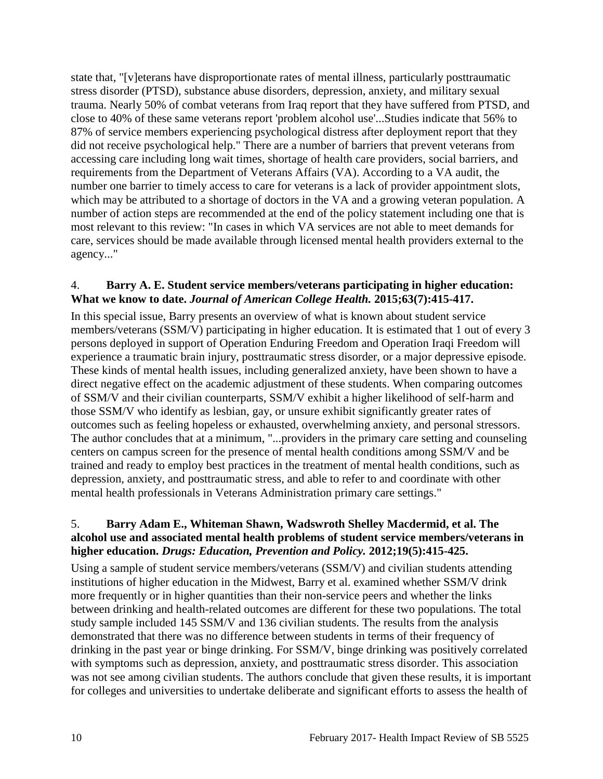state that, "[v]eterans have disproportionate rates of mental illness, particularly posttraumatic stress disorder (PTSD), substance abuse disorders, depression, anxiety, and military sexual trauma. Nearly 50% of combat veterans from Iraq report that they have suffered from PTSD, and close to 40% of these same veterans report 'problem alcohol use'...Studies indicate that 56% to 87% of service members experiencing psychological distress after deployment report that they did not receive psychological help." There are a number of barriers that prevent veterans from accessing care including long wait times, shortage of health care providers, social barriers, and requirements from the Department of Veterans Affairs (VA). According to a VA audit, the number one barrier to timely access to care for veterans is a lack of provider appointment slots, which may be attributed to a shortage of doctors in the VA and a growing veteran population. A number of action steps are recommended at the end of the policy statement including one that is most relevant to this review: "In cases in which VA services are not able to meet demands for care, services should be made available through licensed mental health providers external to the agency..."

### 4. **Barry A. E. Student service members/veterans participating in higher education: What we know to date.** *Journal of American College Health.* **2015;63(7):415-417.**

In this special issue, Barry presents an overview of what is known about student service members/veterans (SSM/V) participating in higher education. It is estimated that 1 out of every 3 persons deployed in support of Operation Enduring Freedom and Operation Iraqi Freedom will experience a traumatic brain injury, posttraumatic stress disorder, or a major depressive episode. These kinds of mental health issues, including generalized anxiety, have been shown to have a direct negative effect on the academic adjustment of these students. When comparing outcomes of SSM/V and their civilian counterparts, SSM/V exhibit a higher likelihood of self-harm and those SSM/V who identify as lesbian, gay, or unsure exhibit significantly greater rates of outcomes such as feeling hopeless or exhausted, overwhelming anxiety, and personal stressors. The author concludes that at a minimum, "...providers in the primary care setting and counseling centers on campus screen for the presence of mental health conditions among SSM/V and be trained and ready to employ best practices in the treatment of mental health conditions, such as depression, anxiety, and posttraumatic stress, and able to refer to and coordinate with other mental health professionals in Veterans Administration primary care settings."

# 5. **Barry Adam E., Whiteman Shawn, Wadswroth Shelley Macdermid, et al. The alcohol use and associated mental health problems of student service members/veterans in higher education.** *Drugs: Education, Prevention and Policy.* **2012;19(5):415-425.**

Using a sample of student service members/veterans (SSM/V) and civilian students attending institutions of higher education in the Midwest, Barry et al. examined whether SSM/V drink more frequently or in higher quantities than their non-service peers and whether the links between drinking and health-related outcomes are different for these two populations. The total study sample included 145 SSM/V and 136 civilian students. The results from the analysis demonstrated that there was no difference between students in terms of their frequency of drinking in the past year or binge drinking. For SSM/V, binge drinking was positively correlated with symptoms such as depression, anxiety, and posttraumatic stress disorder. This association was not see among civilian students. The authors conclude that given these results, it is important for colleges and universities to undertake deliberate and significant efforts to assess the health of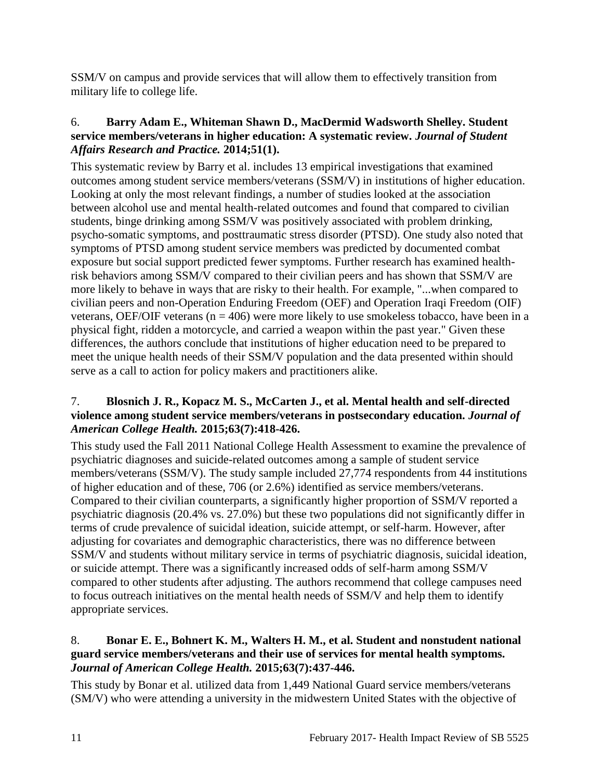SSM/V on campus and provide services that will allow them to effectively transition from military life to college life.

# 6. **Barry Adam E., Whiteman Shawn D., MacDermid Wadsworth Shelley. Student service members/veterans in higher education: A systematic review.** *Journal of Student Affairs Research and Practice.* **2014;51(1).**

This systematic review by Barry et al. includes 13 empirical investigations that examined outcomes among student service members/veterans (SSM/V) in institutions of higher education. Looking at only the most relevant findings, a number of studies looked at the association between alcohol use and mental health-related outcomes and found that compared to civilian students, binge drinking among SSM/V was positively associated with problem drinking, psycho-somatic symptoms, and posttraumatic stress disorder (PTSD). One study also noted that symptoms of PTSD among student service members was predicted by documented combat exposure but social support predicted fewer symptoms. Further research has examined healthrisk behaviors among SSM/V compared to their civilian peers and has shown that SSM/V are more likely to behave in ways that are risky to their health. For example, "...when compared to civilian peers and non-Operation Enduring Freedom (OEF) and Operation Iraqi Freedom (OIF) veterans, OEF/OIF veterans ( $n = 406$ ) were more likely to use smokeless tobacco, have been in a physical fight, ridden a motorcycle, and carried a weapon within the past year." Given these differences, the authors conclude that institutions of higher education need to be prepared to meet the unique health needs of their SSM/V population and the data presented within should serve as a call to action for policy makers and practitioners alike.

# 7. **Blosnich J. R., Kopacz M. S., McCarten J., et al. Mental health and self-directed violence among student service members/veterans in postsecondary education.** *Journal of American College Health.* **2015;63(7):418-426.**

This study used the Fall 2011 National College Health Assessment to examine the prevalence of psychiatric diagnoses and suicide-related outcomes among a sample of student service members/veterans (SSM/V). The study sample included 27,774 respondents from 44 institutions of higher education and of these, 706 (or 2.6%) identified as service members/veterans. Compared to their civilian counterparts, a significantly higher proportion of SSM/V reported a psychiatric diagnosis (20.4% vs. 27.0%) but these two populations did not significantly differ in terms of crude prevalence of suicidal ideation, suicide attempt, or self-harm. However, after adjusting for covariates and demographic characteristics, there was no difference between SSM/V and students without military service in terms of psychiatric diagnosis, suicidal ideation, or suicide attempt. There was a significantly increased odds of self-harm among SSM/V compared to other students after adjusting. The authors recommend that college campuses need to focus outreach initiatives on the mental health needs of SSM/V and help them to identify appropriate services.

# 8. **Bonar E. E., Bohnert K. M., Walters H. M., et al. Student and nonstudent national guard service members/veterans and their use of services for mental health symptoms.**  *Journal of American College Health.* **2015;63(7):437-446.**

This study by Bonar et al. utilized data from 1,449 National Guard service members/veterans (SM/V) who were attending a university in the midwestern United States with the objective of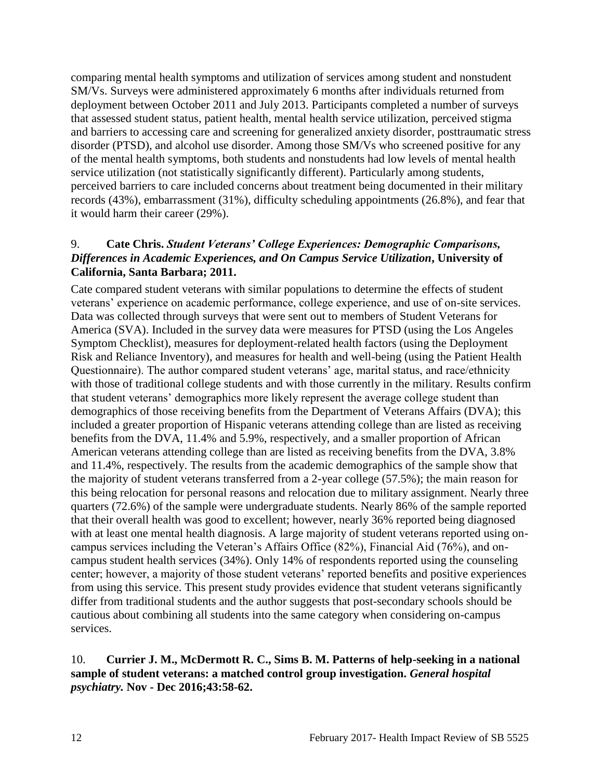comparing mental health symptoms and utilization of services among student and nonstudent SM/Vs. Surveys were administered approximately 6 months after individuals returned from deployment between October 2011 and July 2013. Participants completed a number of surveys that assessed student status, patient health, mental health service utilization, perceived stigma and barriers to accessing care and screening for generalized anxiety disorder, posttraumatic stress disorder (PTSD), and alcohol use disorder. Among those SM/Vs who screened positive for any of the mental health symptoms, both students and nonstudents had low levels of mental health service utilization (not statistically significantly different). Particularly among students, perceived barriers to care included concerns about treatment being documented in their military records (43%), embarrassment (31%), difficulty scheduling appointments (26.8%), and fear that it would harm their career (29%).

### 9. **Cate Chris.** *Student Veterans' College Experiences: Demographic Comparisons, Differences in Academic Experiences, and On Campus Service Utilization***, University of California, Santa Barbara; 2011.**

Cate compared student veterans with similar populations to determine the effects of student veterans' experience on academic performance, college experience, and use of on-site services. Data was collected through surveys that were sent out to members of Student Veterans for America (SVA). Included in the survey data were measures for PTSD (using the Los Angeles Symptom Checklist), measures for deployment-related health factors (using the Deployment Risk and Reliance Inventory), and measures for health and well-being (using the Patient Health Questionnaire). The author compared student veterans' age, marital status, and race/ethnicity with those of traditional college students and with those currently in the military. Results confirm that student veterans' demographics more likely represent the average college student than demographics of those receiving benefits from the Department of Veterans Affairs (DVA); this included a greater proportion of Hispanic veterans attending college than are listed as receiving benefits from the DVA, 11.4% and 5.9%, respectively, and a smaller proportion of African American veterans attending college than are listed as receiving benefits from the DVA, 3.8% and 11.4%, respectively. The results from the academic demographics of the sample show that the majority of student veterans transferred from a 2-year college (57.5%); the main reason for this being relocation for personal reasons and relocation due to military assignment. Nearly three quarters (72.6%) of the sample were undergraduate students. Nearly 86% of the sample reported that their overall health was good to excellent; however, nearly 36% reported being diagnosed with at least one mental health diagnosis. A large majority of student veterans reported using oncampus services including the Veteran's Affairs Office (82%), Financial Aid (76%), and oncampus student health services (34%). Only 14% of respondents reported using the counseling center; however, a majority of those student veterans' reported benefits and positive experiences from using this service. This present study provides evidence that student veterans significantly differ from traditional students and the author suggests that post-secondary schools should be cautious about combining all students into the same category when considering on-campus services.

# 10. **Currier J. M., McDermott R. C., Sims B. M. Patterns of help-seeking in a national sample of student veterans: a matched control group investigation.** *General hospital psychiatry.* **Nov - Dec 2016;43:58-62.**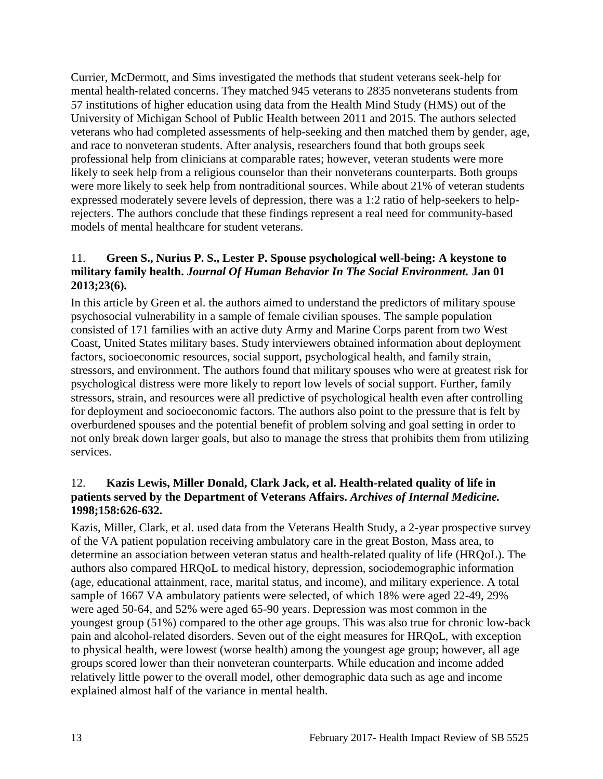Currier, McDermott, and Sims investigated the methods that student veterans seek-help for mental health-related concerns. They matched 945 veterans to 2835 nonveterans students from 57 institutions of higher education using data from the Health Mind Study (HMS) out of the University of Michigan School of Public Health between 2011 and 2015. The authors selected veterans who had completed assessments of help-seeking and then matched them by gender, age, and race to nonveteran students. After analysis, researchers found that both groups seek professional help from clinicians at comparable rates; however, veteran students were more likely to seek help from a religious counselor than their nonveterans counterparts. Both groups were more likely to seek help from nontraditional sources. While about 21% of veteran students expressed moderately severe levels of depression, there was a 1:2 ratio of help-seekers to helprejecters. The authors conclude that these findings represent a real need for community-based models of mental healthcare for student veterans.

# 11. **Green S., Nurius P. S., Lester P. Spouse psychological well-being: A keystone to military family health.** *Journal Of Human Behavior In The Social Environment.* **Jan 01 2013;23(6).**

In this article by Green et al. the authors aimed to understand the predictors of military spouse psychosocial vulnerability in a sample of female civilian spouses. The sample population consisted of 171 families with an active duty Army and Marine Corps parent from two West Coast, United States military bases. Study interviewers obtained information about deployment factors, socioeconomic resources, social support, psychological health, and family strain, stressors, and environment. The authors found that military spouses who were at greatest risk for psychological distress were more likely to report low levels of social support. Further, family stressors, strain, and resources were all predictive of psychological health even after controlling for deployment and socioeconomic factors. The authors also point to the pressure that is felt by overburdened spouses and the potential benefit of problem solving and goal setting in order to not only break down larger goals, but also to manage the stress that prohibits them from utilizing services.

### 12. **Kazis Lewis, Miller Donald, Clark Jack, et al. Health-related quality of life in patients served by the Department of Veterans Affairs.** *Archives of Internal Medicine.*  **1998;158:626-632.**

Kazis, Miller, Clark, et al. used data from the Veterans Health Study, a 2-year prospective survey of the VA patient population receiving ambulatory care in the great Boston, Mass area, to determine an association between veteran status and health-related quality of life (HRQoL). The authors also compared HRQoL to medical history, depression, sociodemographic information (age, educational attainment, race, marital status, and income), and military experience. A total sample of 1667 VA ambulatory patients were selected, of which 18% were aged 22-49, 29% were aged 50-64, and 52% were aged 65-90 years. Depression was most common in the youngest group (51%) compared to the other age groups. This was also true for chronic low-back pain and alcohol-related disorders. Seven out of the eight measures for HRQoL, with exception to physical health, were lowest (worse health) among the youngest age group; however, all age groups scored lower than their nonveteran counterparts. While education and income added relatively little power to the overall model, other demographic data such as age and income explained almost half of the variance in mental health.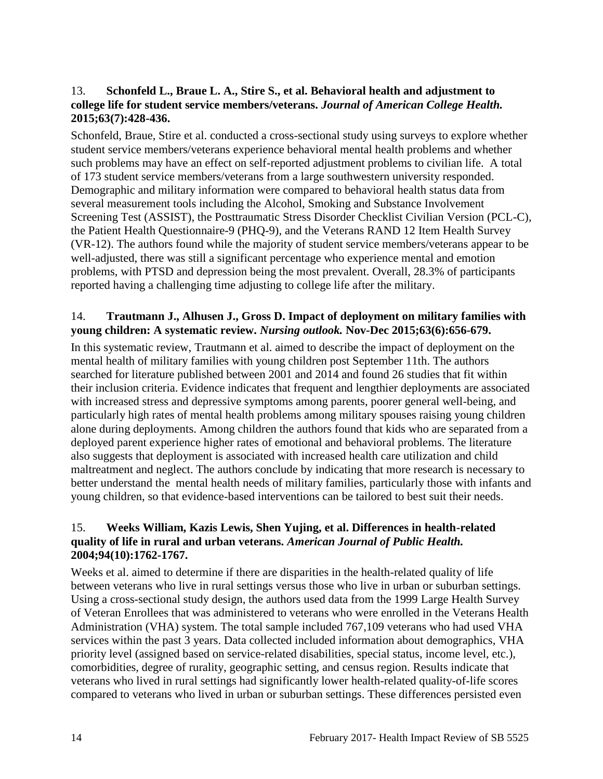# 13. **Schonfeld L., Braue L. A., Stire S., et al. Behavioral health and adjustment to college life for student service members/veterans.** *Journal of American College Health.*  **2015;63(7):428-436.**

Schonfeld, Braue, Stire et al. conducted a cross-sectional study using surveys to explore whether student service members/veterans experience behavioral mental health problems and whether such problems may have an effect on self-reported adjustment problems to civilian life. A total of 173 student service members/veterans from a large southwestern university responded. Demographic and military information were compared to behavioral health status data from several measurement tools including the Alcohol, Smoking and Substance Involvement Screening Test (ASSIST), the Posttraumatic Stress Disorder Checklist Civilian Version (PCL-C), the Patient Health Questionnaire-9 (PHQ-9), and the Veterans RAND 12 Item Health Survey (VR-12). The authors found while the majority of student service members/veterans appear to be well-adjusted, there was still a significant percentage who experience mental and emotion problems, with PTSD and depression being the most prevalent. Overall, 28.3% of participants reported having a challenging time adjusting to college life after the military.

# 14. **Trautmann J., Alhusen J., Gross D. Impact of deployment on military families with young children: A systematic review.** *Nursing outlook.* **Nov-Dec 2015;63(6):656-679.**

In this systematic review, Trautmann et al. aimed to describe the impact of deployment on the mental health of military families with young children post September 11th. The authors searched for literature published between 2001 and 2014 and found 26 studies that fit within their inclusion criteria. Evidence indicates that frequent and lengthier deployments are associated with increased stress and depressive symptoms among parents, poorer general well-being, and particularly high rates of mental health problems among military spouses raising young children alone during deployments. Among children the authors found that kids who are separated from a deployed parent experience higher rates of emotional and behavioral problems. The literature also suggests that deployment is associated with increased health care utilization and child maltreatment and neglect. The authors conclude by indicating that more research is necessary to better understand the mental health needs of military families, particularly those with infants and young children, so that evidence-based interventions can be tailored to best suit their needs.

# 15. **Weeks William, Kazis Lewis, Shen Yujing, et al. Differences in health-related quality of life in rural and urban veterans.** *American Journal of Public Health.*  **2004;94(10):1762-1767.**

Weeks et al. aimed to determine if there are disparities in the health-related quality of life between veterans who live in rural settings versus those who live in urban or suburban settings. Using a cross-sectional study design, the authors used data from the 1999 Large Health Survey of Veteran Enrollees that was administered to veterans who were enrolled in the Veterans Health Administration (VHA) system. The total sample included 767,109 veterans who had used VHA services within the past 3 years. Data collected included information about demographics, VHA priority level (assigned based on service-related disabilities, special status, income level, etc.), comorbidities, degree of rurality, geographic setting, and census region. Results indicate that veterans who lived in rural settings had significantly lower health-related quality-of-life scores compared to veterans who lived in urban or suburban settings. These differences persisted even